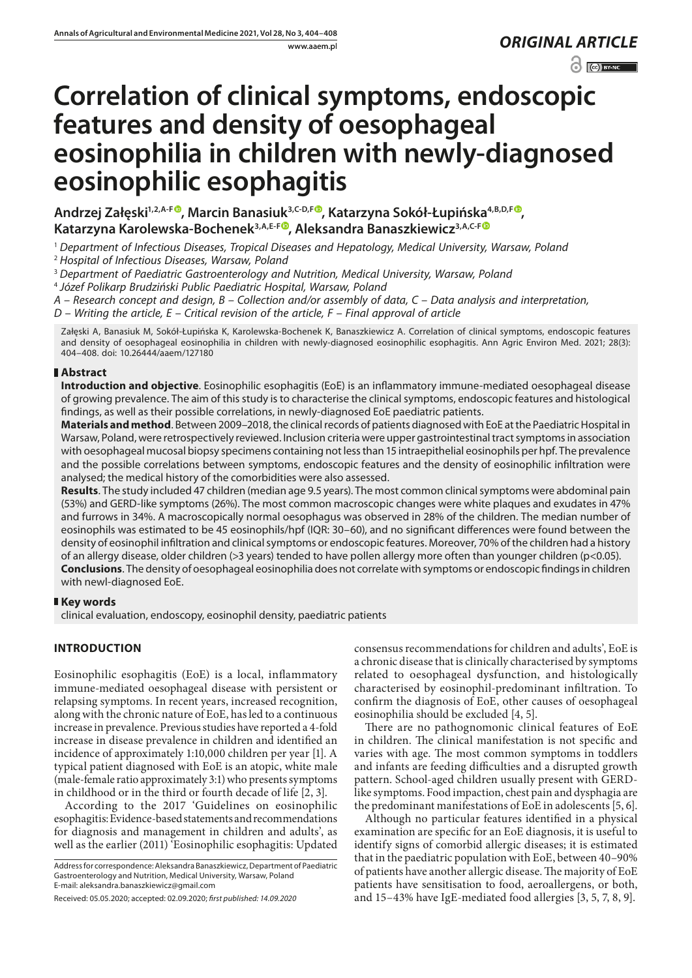www.aaem.pl *ORIGINAL [ARTICLE](https://creativecommons.org/licenses/by-nc/3.0/pl/deed.en)* 

 $\odot$   $\odot$  EYNC

# **Correlation of clinical symptoms, endoscopic features and density of oesophageal eosinophilia in children with newly-diagnosed eosinophilic esophagitis**

**Andrzej Załęski1,2,A-F , Marcin Banasiuk3,C-D,F , Katarzyna Sokół-Łupińska4,B,D,F [,](https://orcid.org/0000-0002-0104-7631)**  Katarzyna Karolewska-Bochenek<sup>3,A,E-F®</sup>, Aleksandra Banaszkiewicz<sup>3,A,C-F®</sup>

<sup>1</sup> *Department of Infectious Diseases, Tropical Diseases and Hepatology, Medical University, Warsaw, Poland* <sup>2</sup> *Hospital of Infectious Diseases, Warsaw, Poland*

<sup>3</sup> *Department of Paediatric Gastroenterology and Nutrition, Medical University, Warsaw, Poland*

<sup>4</sup> *Józef Polikarp Brudziński Public Paediatric Hospital, Warsaw, Poland*

*A – Research concept and design, B – Collection and/or assembly of data, C – Data analysis and interpretation,* 

*D – Writing the article, E – Critical revision of the article, F – Final approval of article*

Załęski A, Banasiuk M, Sokół-Łupińska K, Karolewska-Bochenek K, Banaszkiewicz A. Correlation of clinical symptoms, endoscopic features and density of oesophageal eosinophilia in children with newly-diagnosed eosinophilic esophagitis. Ann Agric Environ Med. 2021; 28(3): 404–408. doi: 10.26444/aaem/127180

# **Abstract**

**Introduction and objective**. Eosinophilic esophagitis (EoE) is an inflammatory immune-mediated oesophageal disease of growing prevalence. The aim of this study is to characterise the clinical symptoms, endoscopic features and histological findings, as well as their possible correlations, in newly-diagnosed EoE paediatric patients.

**Materials and method**. Between 2009–2018, the clinical records of patients diagnosed with EoE at the Paediatric Hospital in Warsaw, Poland, were retrospectively reviewed. Inclusion criteria were upper gastrointestinal tract symptoms in association with oesophageal mucosal biopsy specimens containing not less than 15 intraepithelial eosinophils per hpf. The prevalence and the possible correlations between symptoms, endoscopic features and the density of eosinophilic infiltration were analysed; the medical history of the comorbidities were also assessed.

**Results**. The study included 47 children (median age 9.5 years). The most common clinical symptoms were abdominal pain (53%) and GERD-like symptoms (26%). The most common macroscopic changes were white plaques and exudates in 47% and furrows in 34%. A macroscopically normal oesophagus was observed in 28% of the children. The median number of eosinophils was estimated to be 45 eosinophils/hpf (IQR: 30–60), and no significant differences were found between the density of eosinophil infiltration and clinical symptoms or endoscopic features. Moreover, 70% of the children had a history of an allergy disease, older children (>3 years) tended to have pollen allergy more often than younger children (p<0.05). **Conclusions**. The density of oesophageal eosinophilia does not correlate with symptoms or endoscopic findings in children with newl-diagnosed EoE.

## **Key words**

clinical evaluation, endoscopy, eosinophil density, paediatric patients

# **INTRODUCTION**

Eosinophilic esophagitis (EoE) is a local, inflammatory immune-mediated oesophageal disease with persistent or relapsing symptoms. In recent years, increased recognition, along with the chronic nature of EoE, has led to a continuous increase in prevalence. Previous studies have reported a 4-fold increase in disease prevalence in children and identified an incidence of approximately 1:10,000 children per year [1]. A typical patient diagnosed with EoE is an atopic, white male (male-female ratio approximately 3:1) who presents symptoms in childhood or in the third or fourth decade of life [2, 3].

According to the 2017 'Guidelines on eosinophilic esophagitis: Evidence-based statements and recommendations for diagnosis and management in children and adults', as well as the earlier (2011) 'Eosinophilic esophagitis: Updated

Address for correspondence: Aleksandra Banaszkiewicz, Department of Paediatric Gastroenterology and Nutrition, Medical University, Warsaw, Poland E-mail: aleksandra.banaszkiewicz@gmail.com

Received: 05.05.2020; accepted: 02.09.2020; *first published: 14.09.2020*

consensus recommendations for children and adults', EoE is a chronic disease that is clinically characterised by symptoms related to oesophageal dysfunction, and histologically characterised by eosinophil-predominant infiltration. To confirm the diagnosis of EoE, other causes of oesophageal eosinophilia should be excluded [4, 5].

There are no pathognomonic clinical features of EoE in children. The clinical manifestation is not specific and varies with age. The most common symptoms in toddlers and infants are feeding difficulties and a disrupted growth pattern. School-aged children usually present with GERDlike symptoms. Food impaction, chest pain and dysphagia are the predominant manifestations of EoE in adolescents [5, 6].

Although no particular features identified in a physical examination are specific for an EoE diagnosis, it is useful to identify signs of comorbid allergic diseases; it is estimated that in the paediatric population with EoE, between 40–90% of patients have another allergic disease. The majority of EoE patients have sensitisation to food, aeroallergens, or both, and 15–43% have IgE-mediated food allergies [3, 5, 7, 8, 9].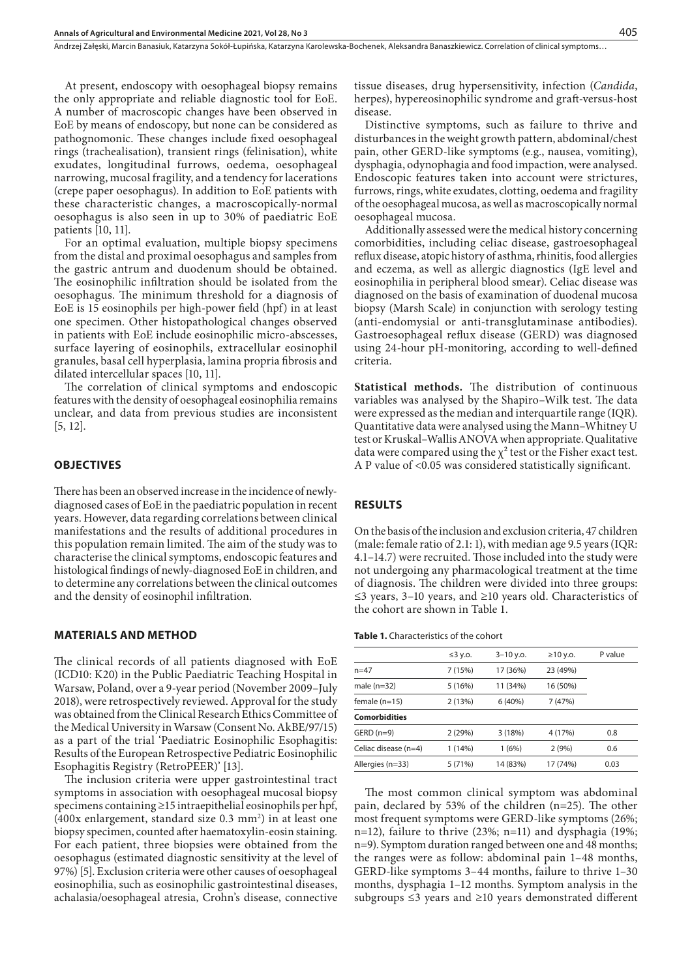Andrzej Załęski, Marcin Banasiuk, Katarzyna Sokół-Łupińska, Katarzyna Karolewska-Bochenek, Aleksandra Banaszkiewicz . Correlation of clinical symptoms…

At present, endoscopy with oesophageal biopsy remains the only appropriate and reliable diagnostic tool for EoE. A number of macroscopic changes have been observed in EoE by means of endoscopy, but none can be considered as pathognomonic. These changes include fixed oesophageal rings (trachealisation), transient rings (felinisation), white exudates, longitudinal furrows, oedema, oesophageal narrowing, mucosal fragility, and a tendency for lacerations (crepe paper oesophagus). In addition to EoE patients with these characteristic changes, a macroscopically-normal oesophagus is also seen in up to 30% of paediatric EoE patients [10, 11].

For an optimal evaluation, multiple biopsy specimens from the distal and proximal oesophagus and samples from the gastric antrum and duodenum should be obtained. The eosinophilic infiltration should be isolated from the oesophagus. The minimum threshold for a diagnosis of EoE is 15 eosinophils per high-power field (hpf) in at least one specimen. Other histopathological changes observed in patients with EoE include eosinophilic micro-abscesses, surface layering of eosinophils, extracellular eosinophil granules, basal cell hyperplasia, lamina propria fibrosis and dilated intercellular spaces [10, 11].

The correlation of clinical symptoms and endoscopic features with the density of oesophageal eosinophilia remains unclear, and data from previous studies are inconsistent [5, 12].

#### **OBJECTIVES**

There has been an observed increase in the incidence of newlydiagnosed cases of EoE in the paediatric population in recent years. However, data regarding correlations between clinical manifestations and the results of additional procedures in this population remain limited. The aim of the study was to characterise the clinical symptoms, endoscopic features and histological findings of newly-diagnosed EoE in children, and to determine any correlations between the clinical outcomes and the density of eosinophil infiltration.

#### **MATERIALS AND METHOD**

The clinical records of all patients diagnosed with EoE (ICD10: K20) in the Public Paediatric Teaching Hospital in Warsaw, Poland, over a 9-year period (November 2009–July 2018), were retrospectively reviewed. Approval for the study was obtained from the Clinical Research Ethics Committee of the Medical University in Warsaw (Consent No. AkBE/97/15) as a part of the trial 'Paediatric Eosinophilic Esophagitis: Results of the European Retrospective Pediatric Eosinophilic Esophagitis Registry (RetroPEER)' [13].

The inclusion criteria were upper gastrointestinal tract symptoms in association with oesophageal mucosal biopsy specimens containing ≥15 intraepithelial eosinophils per hpf,  $(400x$  enlargement, standard size  $0.3$  mm<sup>2</sup>) in at least one biopsy specimen, counted after haematoxylin-eosin staining. For each patient, three biopsies were obtained from the oesophagus (estimated diagnostic sensitivity at the level of 97%) [5]. Exclusion criteria were other causes of oesophageal eosinophilia, such as eosinophilic gastrointestinal diseases, achalasia/oesophageal atresia, Crohn's disease, connective

tissue diseases, drug hypersensitivity, infection (*Candida*, herpes), hypereosinophilic syndrome and graft-versus-host disease.

Distinctive symptoms, such as failure to thrive and disturbances in the weight growth pattern, abdominal/chest pain, other GERD-like symptoms (e.g., nausea, vomiting), dysphagia, odynophagia and food impaction, were analysed. Endoscopic features taken into account were strictures, furrows, rings, white exudates, clotting, oedema and fragility of the oesophageal mucosa, as well as macroscopically normal oesophageal mucosa.

Additionally assessed were the medical history concerning comorbidities, including celiac disease, gastroesophageal reflux disease, atopic history of asthma, rhinitis, food allergies and eczema, as well as allergic diagnostics (IgE level and eosinophilia in peripheral blood smear). Celiac disease was diagnosed on the basis of examination of duodenal mucosa biopsy (Marsh Scale) in conjunction with serology testing (anti-endomysial or anti-transglutaminase antibodies). Gastroesophageal reflux disease (GERD) was diagnosed using 24-hour pH-monitoring, according to well-defined criteria.

**Statistical methods.** The distribution of continuous variables was analysed by the Shapiro–Wilk test. The data were expressed as the median and interquartile range (IQR). Quantitative data were analysed using the Mann–Whitney U test or Kruskal–Wallis ANOVA when appropriate. Qualitative data were compared using the  $\chi^2$  test or the Fisher exact test. A P value of <0.05 was considered statistically significant.

#### **RESULTS**

On the basis of the inclusion and exclusion criteria, 47 children (male: female ratio of 2.1: 1), with median age 9.5 years (IQR: 4.1–14.7) were recruited. Those included into the study were not undergoing any pharmacological treatment at the time of diagnosis. The children were divided into three groups: ≤3 years, 3–10 years, and ≥10 years old. Characteristics of the cohort are shown in Table 1.

**Table 1.** Characteristics of the cohort

|                      | $\leq$ 3 y.o. | $3 - 10$ y.o. | $\geq$ 10 y.o. | P value |
|----------------------|---------------|---------------|----------------|---------|
| $n=47$               | 7(15%)        | 17 (36%)      | 23 (49%)       |         |
| male $(n=32)$        | 5(16%)        | 11 (34%)      | 16 (50%)       |         |
| female (n=15)        | 2(13%)        | 6(40%)        | 7(47%)         |         |
| <b>Comorbidities</b> |               |               |                |         |
| $GERD(n=9)$          | 2(29%)        | 3(18%)        | 4 (17%)        | 0.8     |
| Celiac disease (n=4) | 1 (14%)       | 1(6%)         | 2(9%)          | 0.6     |
| Allergies (n=33)     | 5(71%)        | 14 (83%)      | 17 (74%)       | 0.03    |

The most common clinical symptom was abdominal pain, declared by 53% of the children (n=25). The other most frequent symptoms were GERD-like symptoms (26%; n=12), failure to thrive (23%; n=11) and dysphagia (19%; n=9). Symptom duration ranged between one and 48 months; the ranges were as follow: abdominal pain 1–48 months, GERD-like symptoms 3–44 months, failure to thrive 1–30 months, dysphagia 1–12 months. Symptom analysis in the subgroups ≤3 years and ≥10 years demonstrated different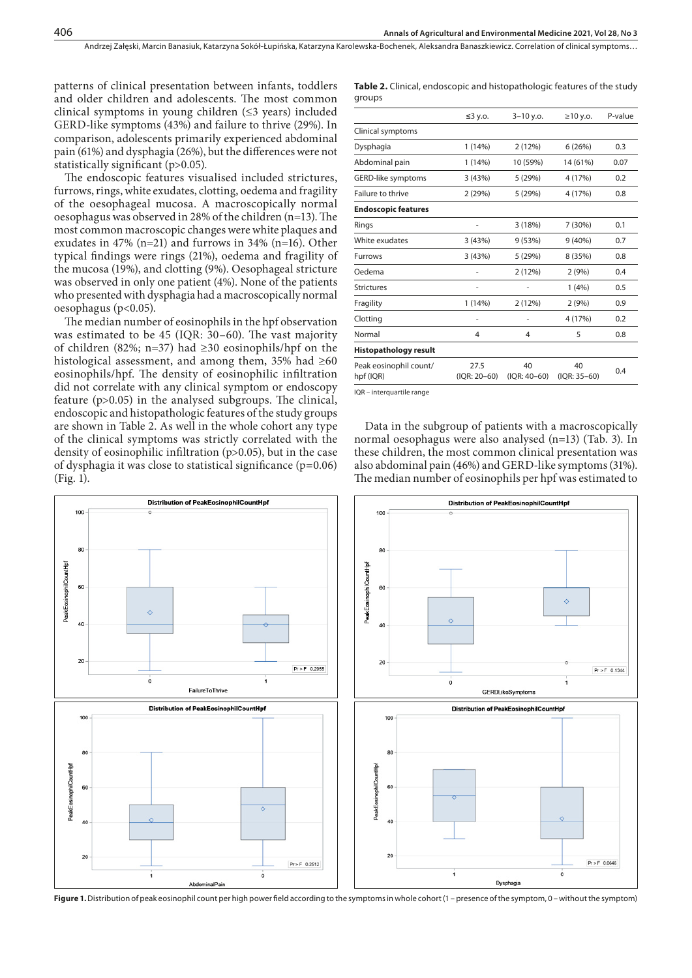patterns of clinical presentation between infants, toddlers and older children and adolescents. The most common clinical symptoms in young children (≤3 years) included GERD-like symptoms (43%) and failure to thrive (29%). In comparison, adolescents primarily experienced abdominal pain (61%) and dysphagia (26%), but the differences were not statistically significant (p>0.05).

The endoscopic features visualised included strictures, furrows, rings, white exudates, clotting, oedema and fragility of the oesophageal mucosa. A macroscopically normal oesophagus was observed in 28% of the children (n=13). The most common macroscopic changes were white plaques and exudates in 47% (n=21) and furrows in 34% (n=16). Other typical findings were rings (21%), oedema and fragility of the mucosa (19%), and clotting (9%). Oesophageal stricture was observed in only one patient (4%). None of the patients who presented with dysphagia had a macroscopically normal oesophagus (p<0.05).

The median number of eosinophils in the hpf observation was estimated to be 45 (IQR: 30–60). The vast majority of children (82%; n=37) had ≥30 eosinophils/hpf on the histological assessment, and among them, 35% had  $\geq 60$ eosinophils/hpf. The density of eosinophilic infiltration did not correlate with any clinical symptom or endoscopy feature (p>0.05) in the analysed subgroups. The clinical, endoscopic and histopathologic features of the study groups are shown in Table 2. As well in the whole cohort any type of the clinical symptoms was strictly correlated with the density of eosinophilic infiltration (p>0.05), but in the case of dysphagia it was close to statistical significance  $(p=0.06)$ (Fig. 1).

**Table 2.** Clinical, endoscopic and histopathologic features of the study groups

|                                     | $≤3$ y.o.            | $3 - 10$ y.o.      | $\geq$ 10 y.o.     | P-value |
|-------------------------------------|----------------------|--------------------|--------------------|---------|
| Clinical symptoms                   |                      |                    |                    |         |
| Dysphagia                           | 1(14%)               | 2(12%)             | 6(26%)             | 0.3     |
| Abdominal pain                      | 1 (14%)              | 10 (59%)           | 14 (61%)           | 0.07    |
| GERD-like symptoms                  | 3(43%)               | 5(29%)             | 4 (17%)            | 0.2     |
| Failure to thrive                   | 2(29%)               | 5(29%)             | 4 (17%)            | 0.8     |
| <b>Endoscopic features</b>          |                      |                    |                    |         |
| Rings                               | ٠                    | 3(18%)             | 7 (30%)            | 0.1     |
| White exudates                      | 3(43%)               | 9(53%)             | $9(40\%)$          | 0.7     |
| <b>Furrows</b>                      | 3(43%)               | 5(29%)             | 8 (35%)            | 0.8     |
| Oedema                              | ٠                    | 2(12%)             | 2(9%)              | 0.4     |
| <b>Strictures</b>                   | ٠                    |                    | 1(4%)              | 0.5     |
| Fragility                           | 1 (14%)              | 2(12%)             | 2(9%)              | 0.9     |
| Clotting                            | -                    |                    | 4 (17%)            | 0.2     |
| Normal                              | 4                    | 4                  | 5                  | 0.8     |
| <b>Histopathology result</b>        |                      |                    |                    |         |
| Peak eosinophil count/<br>hpf (IQR) | 27.5<br>(IQR: 20-60) | 40<br>(IQR: 40–60) | 40<br>(IQR: 35-60) | 0.4     |

IQR – interquartile range

Data in the subgroup of patients with a macroscopically normal oesophagus were also analysed (n=13) (Tab. 3). In these children, the most common clinical presentation was also abdominal pain (46%) and GERD-like symptoms (31%). The median number of eosinophils per hpf was estimated to



**Figure 1.** Distribution of peak eosinophil count per high power field according to the symptoms in whole cohort (1 – presence of the symptom, 0 – without the symptom)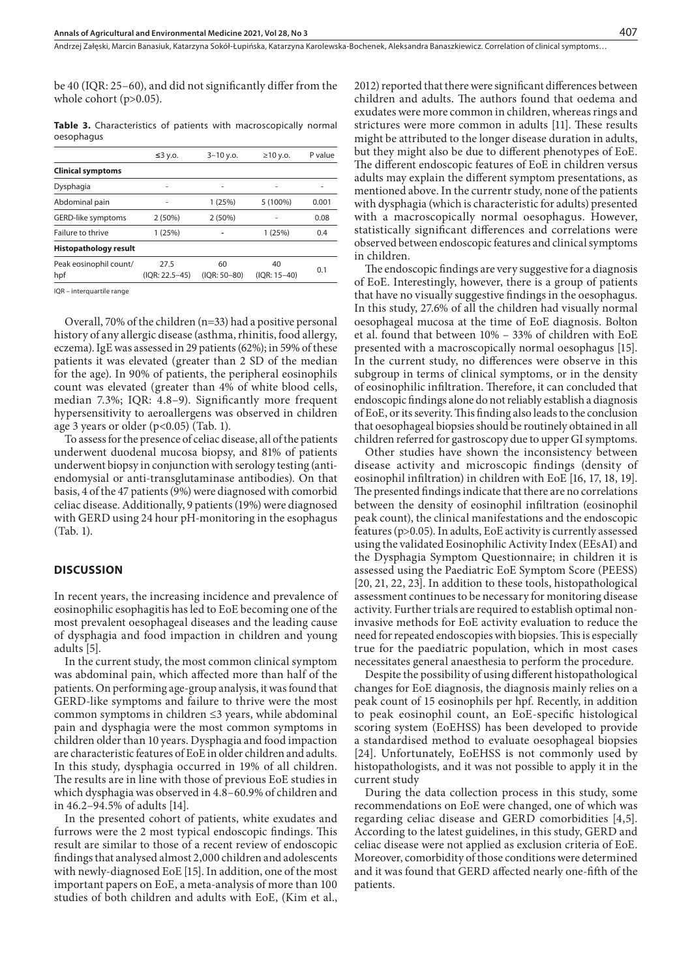be 40 (IQR: 25–60), and did not significantly differ from the whole cohort (p>0.05).

**Table 3.** Characteristics of patients with macroscopically normal oesophagus

|                               | $\leq 3$ y.o.          | $3 - 10$ y.o.      | $\geq$ 10 y.o.       | P value |
|-------------------------------|------------------------|--------------------|----------------------|---------|
| <b>Clinical symptoms</b>      |                        |                    |                      |         |
| Dysphagia                     |                        | ۰                  |                      |         |
| Abdominal pain                |                        | 1(25%)             | 5 (100%)             | 0.001   |
| GERD-like symptoms            | 2(50%)                 | 2(50%)             |                      | 0.08    |
| Failure to thrive             | 1(25%)                 |                    | 1(25%)               | 0.4     |
| Histopathology result         |                        |                    |                      |         |
| Peak eosinophil count/<br>hpf | 27.5<br>(IOR: 22.5-45) | 60<br>(IOR: 50-80) | 40<br>$(IOR: 15-40)$ | 0.1     |
|                               |                        |                    |                      |         |

IQR – interquartile range

Overall, 70% of the children (n=33) had a positive personal history of any allergic disease (asthma, rhinitis, food allergy, eczema). IgE was assessed in 29 patients (62%); in 59% of these patients it was elevated (greater than 2 SD of the median for the age). In 90% of patients, the peripheral eosinophils count was elevated (greater than 4% of white blood cells, median 7.3%; IQR: 4.8–9). Significantly more frequent hypersensitivity to aeroallergens was observed in children age 3 years or older (p<0.05) (Tab. 1).

To assess for the presence of celiac disease, all of the patients underwent duodenal mucosa biopsy, and 81% of patients underwent biopsy in conjunction with serology testing (antiendomysial or anti-transglutaminase antibodies). On that basis, 4 of the 47 patients (9%) were diagnosed with comorbid celiac disease. Additionally, 9 patients (19%) were diagnosed with GERD using 24 hour pH-monitoring in the esophagus (Tab. 1).

#### **DISCUSSION**

In recent years, the increasing incidence and prevalence of eosinophilic esophagitis has led to EoE becoming one of the most prevalent oesophageal diseases and the leading cause of dysphagia and food impaction in children and young adults [5].

In the current study, the most common clinical symptom was abdominal pain, which affected more than half of the patients. On performing age-group analysis, it was found that GERD-like symptoms and failure to thrive were the most common symptoms in children ≤3 years, while abdominal pain and dysphagia were the most common symptoms in children older than 10 years. Dysphagia and food impaction are characteristic features of EoE in older children and adults. In this study, dysphagia occurred in 19% of all children. The results are in line with those of previous EoE studies in which dysphagia was observed in 4.8–60.9% of children and in 46.2–94.5% of adults [14].

In the presented cohort of patients, white exudates and furrows were the 2 most typical endoscopic findings. This result are similar to those of a recent review of endoscopic findings that analysed almost 2,000 children and adolescents with newly-diagnosed EoE [15]. In addition, one of the most important papers on EoE, a meta-analysis of more than 100 studies of both children and adults with EoE, (Kim et al.,

2012) reported that there were significant differences between children and adults. The authors found that oedema and exudates were more common in children, whereas rings and strictures were more common in adults [11]. These results might be attributed to the longer disease duration in adults, but they might also be due to different phenotypes of EoE. The different endoscopic features of EoE in children versus adults may explain the different symptom presentations, as mentioned above. In the currentr study, none of the patients with dysphagia (which is characteristic for adults) presented with a macroscopically normal oesophagus. However, statistically significant differences and correlations were observed between endoscopic features and clinical symptoms in children.

The endoscopic findings are very suggestive for a diagnosis of EoE. Interestingly, however, there is a group of patients that have no visually suggestive findings in the oesophagus. In this study, 27.6% of all the children had visually normal oesophageal mucosa at the time of EoE diagnosis. Bolton et al. found that between 10% – 33% of children with EoE presented with a macroscopically normal oesophagus [15]. In the current study, no differences were observe in this subgroup in terms of clinical symptoms, or in the density of eosinophilic infiltration. Therefore, it can concluded that endoscopic findings alone do not reliably establish a diagnosis of EoE, or its severity. This finding also leads to the conclusion that oesophageal biopsies should be routinely obtained in all children referred for gastroscopy due to upper GI symptoms.

Other studies have shown the inconsistency between disease activity and microscopic findings (density of eosinophil infiltration) in children with EoE [16, 17, 18, 19]. The presented findings indicate that there are no correlations between the density of eosinophil infiltration (eosinophil peak count), the clinical manifestations and the endoscopic features (p>0.05). In adults, EoE activity is currently assessed using the validated Eosinophilic Activity Index (EEsAI) and the Dysphagia Symptom Questionnaire; in children it is assessed using the Paediatric EoE Symptom Score (PEESS) [20, 21, 22, 23]. In addition to these tools, histopathological assessment continues to be necessary for monitoring disease activity. Further trials are required to establish optimal noninvasive methods for EoE activity evaluation to reduce the need for repeated endoscopies with biopsies. This is especially true for the paediatric population, which in most cases necessitates general anaesthesia to perform the procedure.

Despite the possibility of using different histopathological changes for EoE diagnosis, the diagnosis mainly relies on a peak count of 15 eosinophils per hpf. Recently, in addition to peak eosinophil count, an EoE-specific histological scoring system (EoEHSS) has been developed to provide a standardised method to evaluate oesophageal biopsies [24]. Unfortunately, EoEHSS is not commonly used by histopathologists, and it was not possible to apply it in the current study

During the data collection process in this study, some recommendations on EoE were changed, one of which was regarding celiac disease and GERD comorbidities [4,5]. According to the latest guidelines, in this study, GERD and celiac disease were not applied as exclusion criteria of EoE. Moreover, comorbidity of those conditions were determined and it was found that GERD affected nearly one-fifth of the patients.